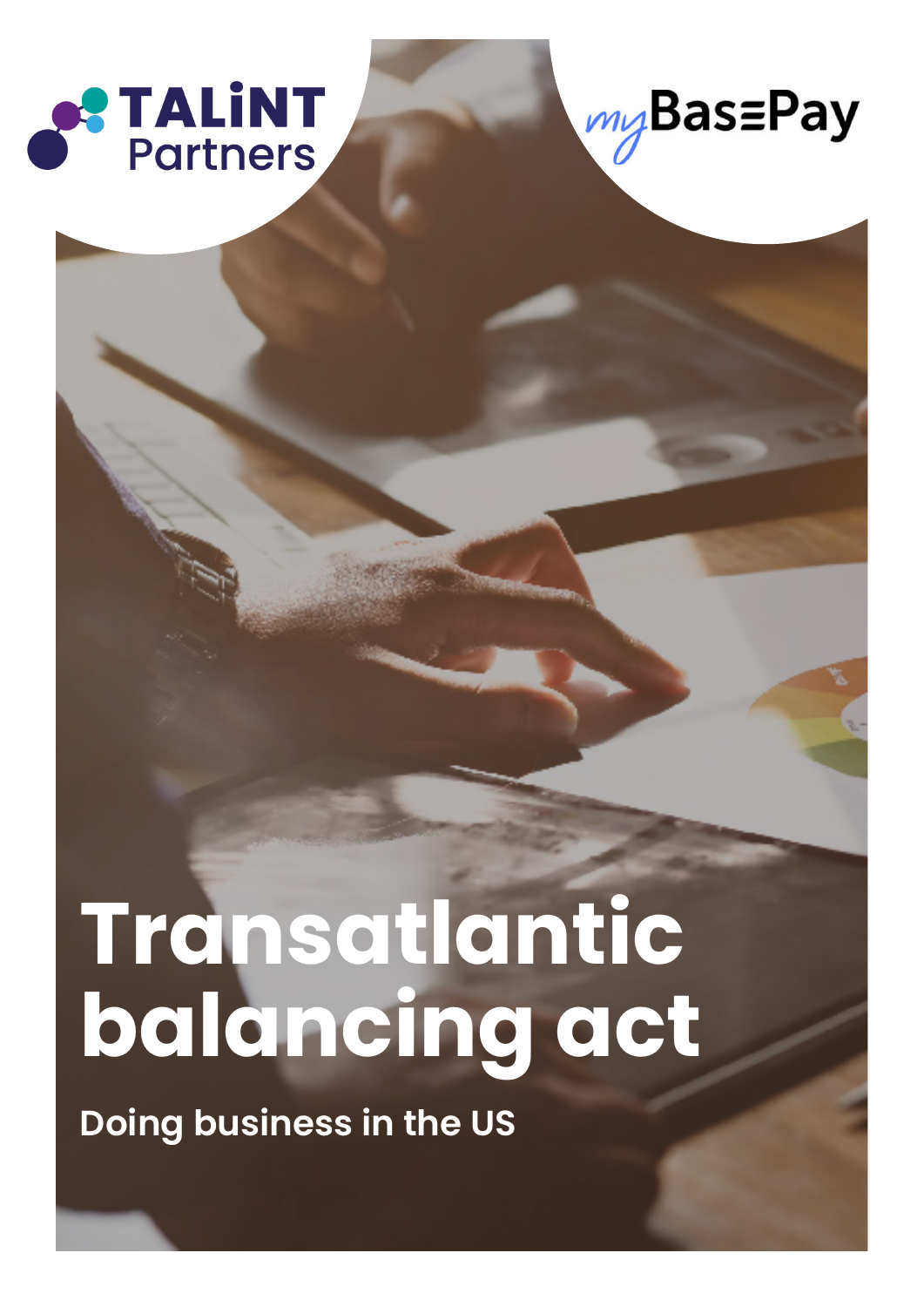



# **Transatlantic balancing act**

**Doing business in the US**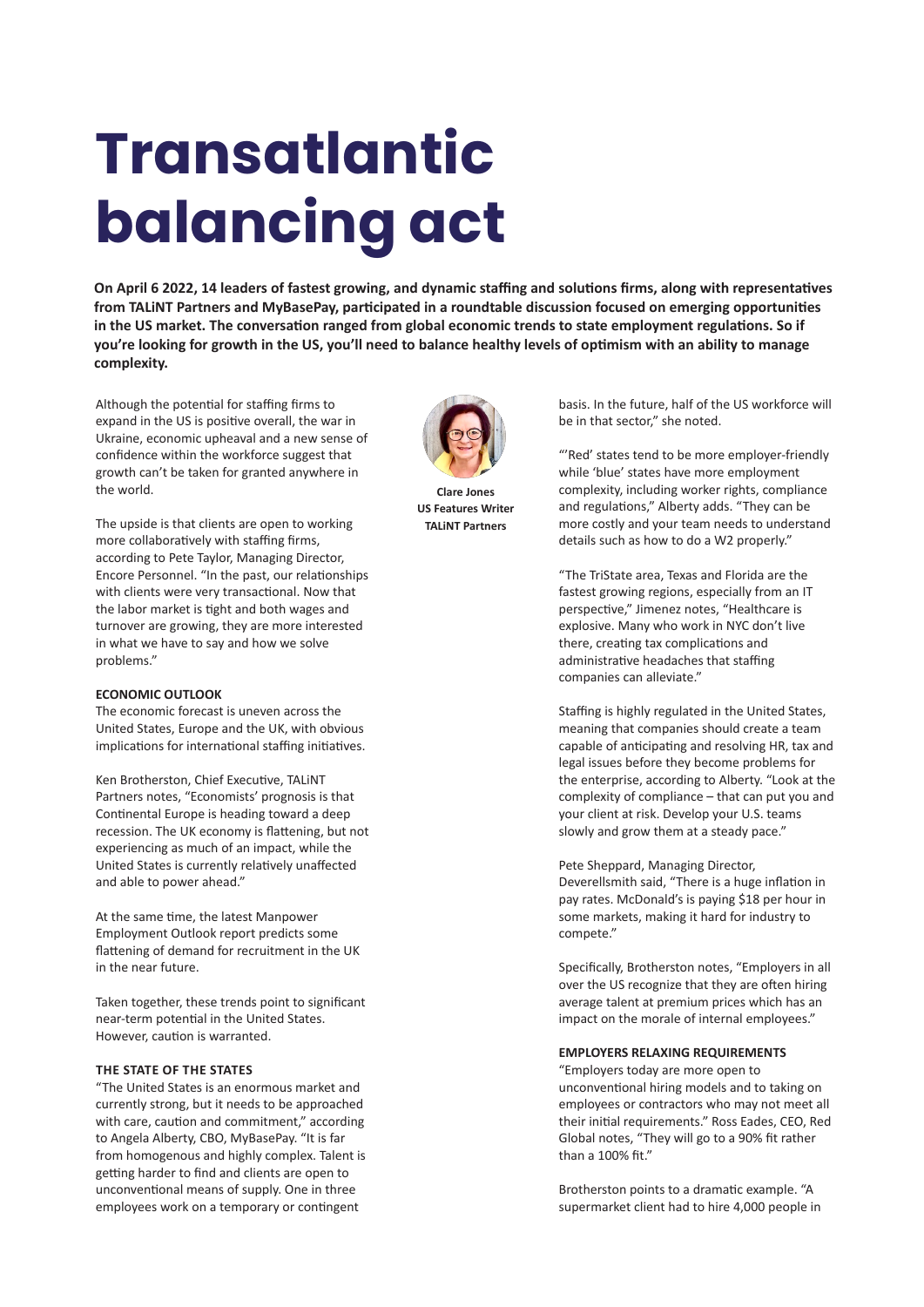# **Transatlantic balancing act**

**On April 6 2022, 14 leaders of fastest growing, and dynamic staffing and solutions firms, along with representatives from TALiNT Partners and MyBasePay, participated in a roundtable discussion focused on emerging opportunities in the US market. The conversation ranged from global economic trends to state employment regulations. So if you're looking for growth in the US, you'll need to balance healthy levels of optimism with an ability to manage complexity.**

Although the potential for staffing firms to expand in the US is positive overall, the war in Ukraine, economic upheaval and a new sense of confidence within the workforce suggest that growth can't be taken for granted anywhere in the world.

The upside is that clients are open to working more collaboratively with staffing firms, according to Pete Taylor, Managing Director, Encore Personnel. "In the past, our relationships with clients were very transactional. Now that the labor market is tight and both wages and turnover are growing, they are more interested in what we have to say and how we solve problems."

# **ECONOMIC OUTLOOK**

The economic forecast is uneven across the United States, Europe and the UK, with obvious implications for international staffing initiatives.

Ken Brotherston, Chief Executive, TALiNT Partners notes, "Economists' prognosis is that Continental Europe is heading toward a deep recession. The UK economy is flattening, but not experiencing as much of an impact, while the United States is currently relatively unaffected and able to power ahead."

At the same time, the latest Manpower Employment Outlook report predicts some flattening of demand for recruitment in the UK in the near future.

Taken together, these trends point to significant near-term potential in the United States. However, caution is warranted.

## **THE STATE OF THE STATES**

"The United States is an enormous market and currently strong, but it needs to be approached with care, caution and commitment," according to Angela Alberty, CBO, MyBasePay. "It is far from homogenous and highly complex. Talent is getting harder to find and clients are open to unconventional means of supply. One in three employees work on a temporary or contingent



**Clare Jones US Features Writer TALiNT Partners**

basis. In the future, half of the US workforce will be in that sector," she noted.

"'Red' states tend to be more employer-friendly while 'blue' states have more employment complexity, including worker rights, compliance and regulations," Alberty adds. "They can be more costly and your team needs to understand details such as how to do a W2 properly."

"The TriState area, Texas and Florida are the fastest growing regions, especially from an IT perspective," Jimenez notes, "Healthcare is explosive. Many who work in NYC don't live there, creating tax complications and administrative headaches that staffing companies can alleviate."

Staffing is highly regulated in the United States, meaning that companies should create a team capable of anticipating and resolving HR, tax and legal issues before they become problems for the enterprise, according to Alberty. "Look at the complexity of compliance – that can put you and your client at risk. Develop your U.S. teams slowly and grow them at a steady pace."

Pete Sheppard, Managing Director, Deverellsmith said, "There is a huge inflation in pay rates. McDonald's is paying \$18 per hour in some markets, making it hard for industry to compete."

Specifically, Brotherston notes, "Employers in all over the US recognize that they are often hiring average talent at premium prices which has an impact on the morale of internal employees."

### **EMPLOYERS RELAXING REQUIREMENTS**

"Employers today are more open to unconventional hiring models and to taking on employees or contractors who may not meet all their initial requirements." Ross Eades, CEO, Red Global notes, "They will go to a 90% fit rather than a 100% fit."

Brotherston points to a dramatic example. "A supermarket client had to hire 4,000 people in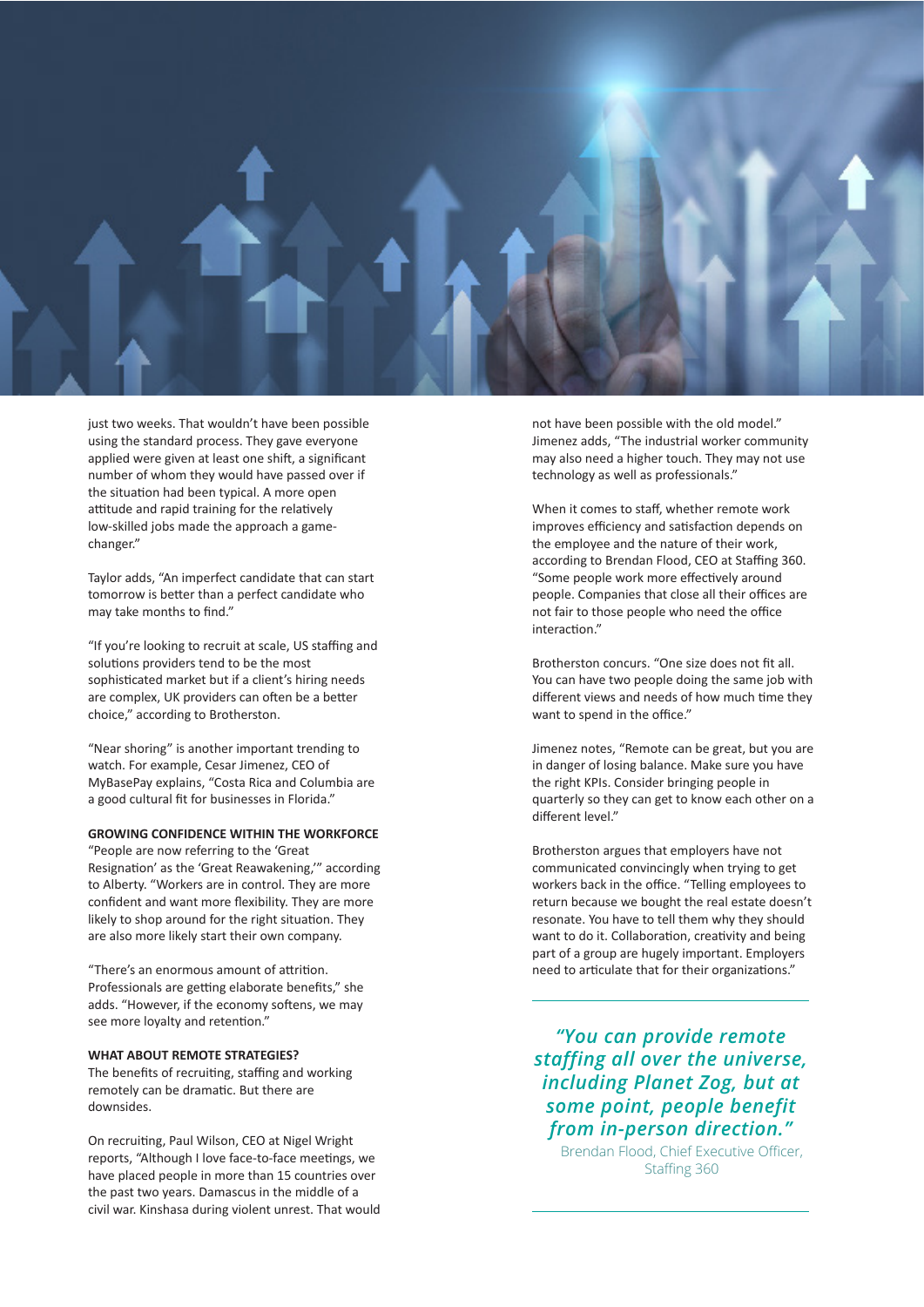

just two weeks. That wouldn't have been possible using the standard process. They gave everyone applied were given at least one shift, a significant number of whom they would have passed over if the situation had been typical. A more open attitude and rapid training for the relatively low-skilled jobs made the approach a gamechanger."

Taylor adds, "An imperfect candidate that can start tomorrow is better than a perfect candidate who may take months to find."

"If you're looking to recruit at scale, US staffing and solutions providers tend to be the most sophisticated market but if a client's hiring needs are complex, UK providers can often be a better choice," according to Brotherston.

"Near shoring" is another important trending to watch. For example, Cesar Jimenez, CEO of MyBasePay explains, "Costa Rica and Columbia are a good cultural fit for businesses in Florida."

## **GROWING CONFIDENCE WITHIN THE WORKFORCE**

"People are now referring to the 'Great Resignation' as the 'Great Reawakening,'" according to Alberty. "Workers are in control. They are more confident and want more flexibility. They are more likely to shop around for the right situation. They are also more likely start their own company.

"There's an enormous amount of attrition. Professionals are getting elaborate benefits," she adds. "However, if the economy softens, we may see more loyalty and retention."

# **WHAT ABOUT REMOTE STRATEGIES?**

The benefits of recruiting, staffing and working remotely can be dramatic. But there are downsides.

On recruiting, Paul Wilson, CEO at Nigel Wright reports, "Although I love face-to-face meetings, we have placed people in more than 15 countries over the past two years. Damascus in the middle of a civil war. Kinshasa during violent unrest. That would

not have been possible with the old model." Jimenez adds, "The industrial worker community may also need a higher touch. They may not use technology as well as professionals."

When it comes to staff, whether remote work improves efficiency and satisfaction depends on the employee and the nature of their work, according to Brendan Flood, CEO at Staffing 360. "Some people work more effectively around people. Companies that close all their offices are not fair to those people who need the office interaction."

Brotherston concurs. "One size does not fit all. You can have two people doing the same job with different views and needs of how much time they want to spend in the office."

Jimenez notes, "Remote can be great, but you are in danger of losing balance. Make sure you have the right KPIs. Consider bringing people in quarterly so they can get to know each other on a different level."

Brotherston argues that employers have not communicated convincingly when trying to get workers back in the office. "Telling employees to return because we bought the real estate doesn't resonate. You have to tell them why they should want to do it. Collaboration, creativity and being part of a group are hugely important. Employers need to articulate that for their organizations."

*"You can provide remote staffing all over the universe, including Planet Zog, but at some point, people benefit from in-person direction."*

Brendan Flood, Chief Executive Officer, Staffing 360